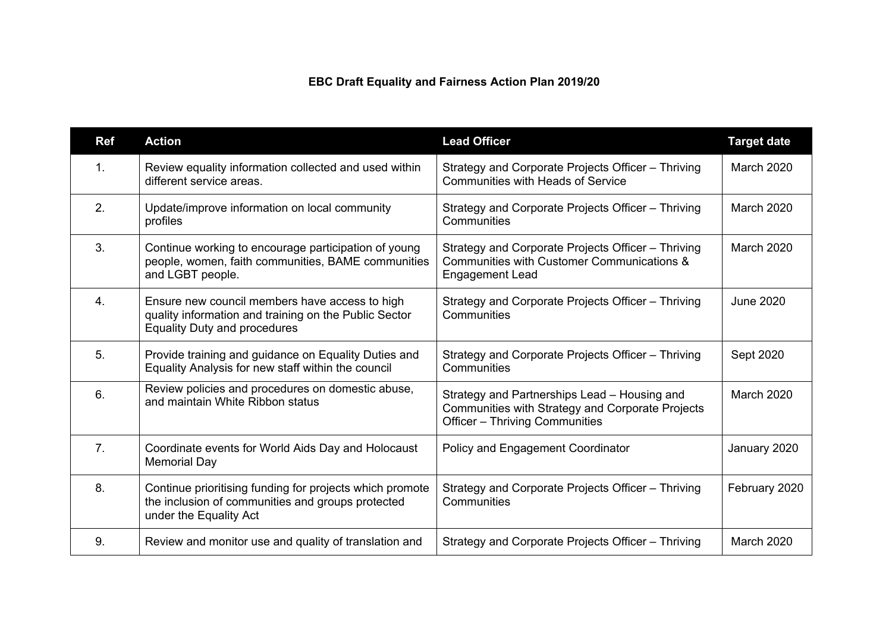## **EBC Draft Equality and Fairness Action Plan 2019/20**

| <b>Ref</b>     | <b>Action</b>                                                                                                                                  | <b>Lead Officer</b>                                                                                                                       | <b>Target date</b> |
|----------------|------------------------------------------------------------------------------------------------------------------------------------------------|-------------------------------------------------------------------------------------------------------------------------------------------|--------------------|
| 1 <sub>1</sub> | Review equality information collected and used within<br>different service areas.                                                              | Strategy and Corporate Projects Officer - Thriving<br><b>Communities with Heads of Service</b>                                            | <b>March 2020</b>  |
| 2.             | Update/improve information on local community<br>profiles                                                                                      | Strategy and Corporate Projects Officer - Thriving<br>Communities                                                                         | <b>March 2020</b>  |
| 3.             | Continue working to encourage participation of young<br>people, women, faith communities, BAME communities<br>and LGBT people.                 | Strategy and Corporate Projects Officer - Thriving<br>Communities with Customer Communications &<br><b>Engagement Lead</b>                | March 2020         |
| 4.             | Ensure new council members have access to high<br>quality information and training on the Public Sector<br><b>Equality Duty and procedures</b> | Strategy and Corporate Projects Officer - Thriving<br>Communities                                                                         | <b>June 2020</b>   |
| 5.             | Provide training and guidance on Equality Duties and<br>Equality Analysis for new staff within the council                                     | Strategy and Corporate Projects Officer - Thriving<br>Communities                                                                         | Sept 2020          |
| 6.             | Review policies and procedures on domestic abuse,<br>and maintain White Ribbon status                                                          | Strategy and Partnerships Lead - Housing and<br>Communities with Strategy and Corporate Projects<br><b>Officer - Thriving Communities</b> | <b>March 2020</b>  |
| 7 <sub>1</sub> | Coordinate events for World Aids Day and Holocaust<br><b>Memorial Day</b>                                                                      | Policy and Engagement Coordinator                                                                                                         | January 2020       |
| 8.             | Continue prioritising funding for projects which promote<br>the inclusion of communities and groups protected<br>under the Equality Act        | Strategy and Corporate Projects Officer - Thriving<br>Communities                                                                         | February 2020      |
| 9.             | Review and monitor use and quality of translation and                                                                                          | Strategy and Corporate Projects Officer - Thriving                                                                                        | <b>March 2020</b>  |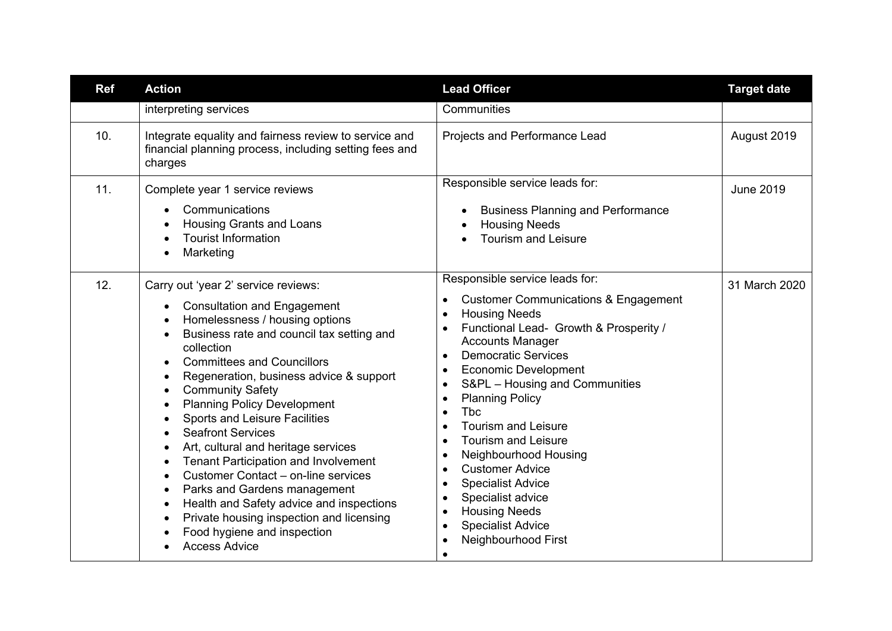| <b>Ref</b> | <b>Action</b>                                                                                                                                                                                                                                                                                                                                                                                                                                                                                                                                                                                                                                                                                                              | <b>Lead Officer</b>                                                                                                                                                                                                                                                                                                                                                                                                                                                                                                                                                                                                                                                                                                                                                 | <b>Target date</b> |
|------------|----------------------------------------------------------------------------------------------------------------------------------------------------------------------------------------------------------------------------------------------------------------------------------------------------------------------------------------------------------------------------------------------------------------------------------------------------------------------------------------------------------------------------------------------------------------------------------------------------------------------------------------------------------------------------------------------------------------------------|---------------------------------------------------------------------------------------------------------------------------------------------------------------------------------------------------------------------------------------------------------------------------------------------------------------------------------------------------------------------------------------------------------------------------------------------------------------------------------------------------------------------------------------------------------------------------------------------------------------------------------------------------------------------------------------------------------------------------------------------------------------------|--------------------|
|            | interpreting services                                                                                                                                                                                                                                                                                                                                                                                                                                                                                                                                                                                                                                                                                                      | Communities                                                                                                                                                                                                                                                                                                                                                                                                                                                                                                                                                                                                                                                                                                                                                         |                    |
| 10.        | Integrate equality and fairness review to service and<br>financial planning process, including setting fees and<br>charges                                                                                                                                                                                                                                                                                                                                                                                                                                                                                                                                                                                                 | Projects and Performance Lead                                                                                                                                                                                                                                                                                                                                                                                                                                                                                                                                                                                                                                                                                                                                       | August 2019        |
| 11.        | Complete year 1 service reviews<br>Communications<br><b>Housing Grants and Loans</b><br><b>Tourist Information</b><br>Marketing                                                                                                                                                                                                                                                                                                                                                                                                                                                                                                                                                                                            | Responsible service leads for:<br><b>Business Planning and Performance</b><br>$\bullet$<br><b>Housing Needs</b><br><b>Tourism and Leisure</b>                                                                                                                                                                                                                                                                                                                                                                                                                                                                                                                                                                                                                       | <b>June 2019</b>   |
| 12.        | Carry out 'year 2' service reviews:<br><b>Consultation and Engagement</b><br>Homelessness / housing options<br>Business rate and council tax setting and<br>collection<br><b>Committees and Councillors</b><br>Regeneration, business advice & support<br><b>Community Safety</b><br><b>Planning Policy Development</b><br>Sports and Leisure Facilities<br><b>Seafront Services</b><br>Art, cultural and heritage services<br><b>Tenant Participation and Involvement</b><br>Customer Contact - on-line services<br>Parks and Gardens management<br>$\bullet$<br>Health and Safety advice and inspections<br>$\bullet$<br>Private housing inspection and licensing<br>Food hygiene and inspection<br><b>Access Advice</b> | Responsible service leads for:<br><b>Customer Communications &amp; Engagement</b><br>$\bullet$<br><b>Housing Needs</b><br>$\bullet$<br>Functional Lead- Growth & Prosperity /<br><b>Accounts Manager</b><br><b>Democratic Services</b><br>$\bullet$<br><b>Economic Development</b><br>$\bullet$<br>S&PL - Housing and Communities<br>$\bullet$<br><b>Planning Policy</b><br>$\bullet$<br><b>Tbc</b><br>$\bullet$<br><b>Tourism and Leisure</b><br>$\bullet$<br><b>Tourism and Leisure</b><br>$\bullet$<br>Neighbourhood Housing<br>$\bullet$<br><b>Customer Advice</b><br>$\bullet$<br><b>Specialist Advice</b><br>$\bullet$<br>Specialist advice<br>$\bullet$<br><b>Housing Needs</b><br>$\bullet$<br><b>Specialist Advice</b><br>Neighbourhood First<br>$\bullet$ | 31 March 2020      |